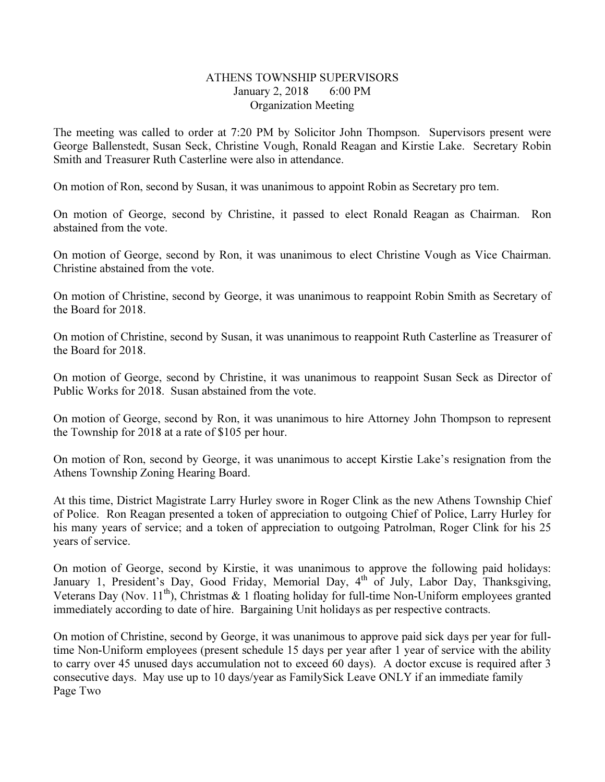## ATHENS TOWNSHIP SUPERVISORS January 2, 2018 6:00 PM Organization Meeting

The meeting was called to order at 7:20 PM by Solicitor John Thompson. Supervisors present were George Ballenstedt, Susan Seck, Christine Vough, Ronald Reagan and Kirstie Lake. Secretary Robin Smith and Treasurer Ruth Casterline were also in attendance.

On motion of Ron, second by Susan, it was unanimous to appoint Robin as Secretary pro tem.

On motion of George, second by Christine, it passed to elect Ronald Reagan as Chairman. Ron abstained from the vote.

On motion of George, second by Ron, it was unanimous to elect Christine Vough as Vice Chairman. Christine abstained from the vote.

On motion of Christine, second by George, it was unanimous to reappoint Robin Smith as Secretary of the Board for 2018.

On motion of Christine, second by Susan, it was unanimous to reappoint Ruth Casterline as Treasurer of the Board for 2018.

On motion of George, second by Christine, it was unanimous to reappoint Susan Seck as Director of Public Works for 2018. Susan abstained from the vote.

On motion of George, second by Ron, it was unanimous to hire Attorney John Thompson to represent the Township for 2018 at a rate of \$105 per hour.

On motion of Ron, second by George, it was unanimous to accept Kirstie Lake's resignation from the Athens Township Zoning Hearing Board.

At this time, District Magistrate Larry Hurley swore in Roger Clink as the new Athens Township Chief of Police. Ron Reagan presented a token of appreciation to outgoing Chief of Police, Larry Hurley for his many years of service; and a token of appreciation to outgoing Patrolman, Roger Clink for his 25 years of service.

On motion of George, second by Kirstie, it was unanimous to approve the following paid holidays: January 1, President's Day, Good Friday, Memorial Day, 4<sup>th</sup> of July, Labor Day, Thanksgiving, Veterans Day (Nov. 11<sup>th</sup>), Christmas & 1 floating holiday for full-time Non-Uniform employees granted immediately according to date of hire. Bargaining Unit holidays as per respective contracts.

On motion of Christine, second by George, it was unanimous to approve paid sick days per year for fulltime Non-Uniform employees (present schedule 15 days per year after 1 year of service with the ability to carry over 45 unused days accumulation not to exceed 60 days). A doctor excuse is required after 3 consecutive days. May use up to 10 days/year as FamilySick Leave ONLY if an immediate family Page Two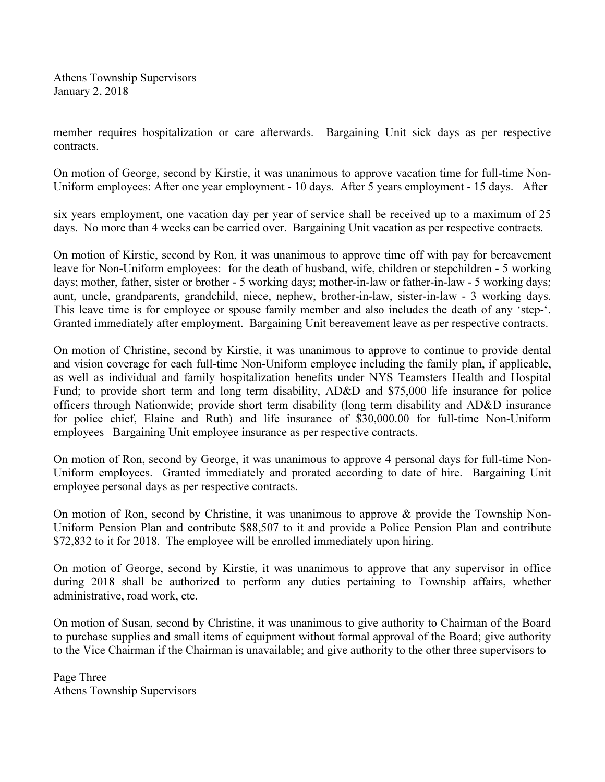Athens Township Supervisors January 2, 2018

member requires hospitalization or care afterwards. Bargaining Unit sick days as per respective contracts.

On motion of George, second by Kirstie, it was unanimous to approve vacation time for full-time Non-Uniform employees: After one year employment - 10 days. After 5 years employment - 15 days. After

six years employment, one vacation day per year of service shall be received up to a maximum of 25 days. No more than 4 weeks can be carried over. Bargaining Unit vacation as per respective contracts.

On motion of Kirstie, second by Ron, it was unanimous to approve time off with pay for bereavement leave for Non-Uniform employees: for the death of husband, wife, children or stepchildren - 5 working days; mother, father, sister or brother - 5 working days; mother-in-law or father-in-law - 5 working days; aunt, uncle, grandparents, grandchild, niece, nephew, brother-in-law, sister-in-law - 3 working days. This leave time is for employee or spouse family member and also includes the death of any 'step-'. Granted immediately after employment. Bargaining Unit bereavement leave as per respective contracts.

On motion of Christine, second by Kirstie, it was unanimous to approve to continue to provide dental and vision coverage for each full-time Non-Uniform employee including the family plan, if applicable, as well as individual and family hospitalization benefits under NYS Teamsters Health and Hospital Fund; to provide short term and long term disability, AD&D and \$75,000 life insurance for police officers through Nationwide; provide short term disability (long term disability and AD&D insurance for police chief, Elaine and Ruth) and life insurance of \$30,000.00 for full-time Non-Uniform employees Bargaining Unit employee insurance as per respective contracts.

On motion of Ron, second by George, it was unanimous to approve 4 personal days for full-time Non-Uniform employees. Granted immediately and prorated according to date of hire. Bargaining Unit employee personal days as per respective contracts.

On motion of Ron, second by Christine, it was unanimous to approve  $\&$  provide the Township Non-Uniform Pension Plan and contribute \$88,507 to it and provide a Police Pension Plan and contribute \$72,832 to it for 2018. The employee will be enrolled immediately upon hiring.

On motion of George, second by Kirstie, it was unanimous to approve that any supervisor in office during 2018 shall be authorized to perform any duties pertaining to Township affairs, whether administrative, road work, etc.

On motion of Susan, second by Christine, it was unanimous to give authority to Chairman of the Board to purchase supplies and small items of equipment without formal approval of the Board; give authority to the Vice Chairman if the Chairman is unavailable; and give authority to the other three supervisors to

Page Three Athens Township Supervisors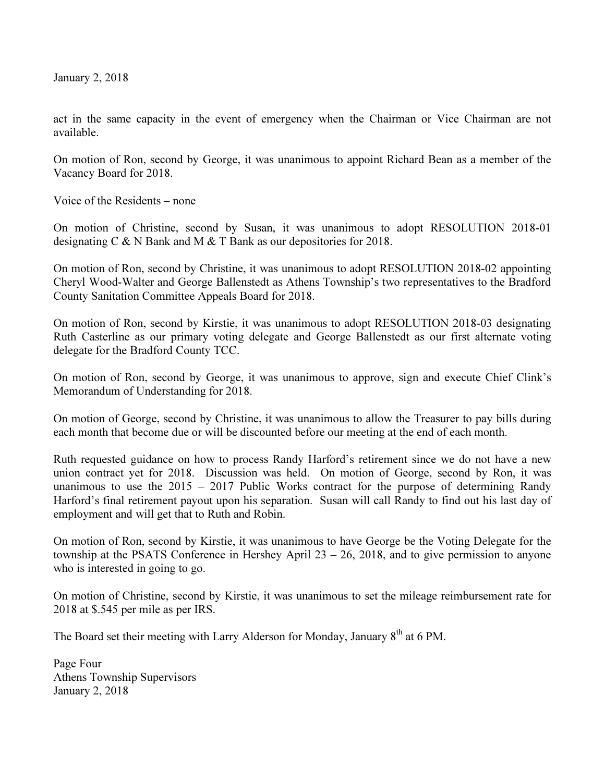January 2, 2018

act in the same capacity in the event of emergency when the Chairman or Vice Chairman are not available.

On motion of Ron, second by George, it was unanimous to appoint Richard Bean as a member of the Vacancy Board for 2018.

Voice of the Residents – none

On motion of Christine, second by Susan, it was unanimous to adopt RESOLUTION 2018-01 designating C & N Bank and M & T Bank as our depositories for 2018.

On motion of Ron, second by Christine, it was unanimous to adopt RESOLUTION 2018-02 appointing Cheryl Wood-Walter and George Ballenstedt as Athens Township's two representatives to the Bradford County Sanitation Committee Appeals Board for 2018.

On motion of Ron, second by Kirstie, it was unanimous to adopt RESOLUTION 2018-03 designating Ruth Casterline as our primary voting delegate and George Ballenstedt as our first alternate voting delegate for the Bradford County TCC.

On motion of Ron, second by George, it was unanimous to approve, sign and execute Chief Clink's Memorandum of Understanding for 2018.

On motion of George, second by Christine, it was unanimous to allow the Treasurer to pay bills during each month that become due or will be discounted before our meeting at the end of each month.

Ruth requested guidance on how to process Randy Harford's retirement since we do not have a new union contract yet for 2018. Discussion was held. On motion of George, second by Ron, it was unanimous to use the  $2015 - 2017$  Public Works contract for the purpose of determining Randy Harford's final retirement payout upon his separation. Susan will call Randy to find out his last day of employment and will get that to Ruth and Robin.

On motion of Ron, second by Kirstie, it was unanimous to have George be the Voting Delegate for the township at the PSATS Conference in Hershey April  $23 - 26$ , 2018, and to give permission to anyone who is interested in going to go.

On motion of Christine, second by Kirstie, it was unanimous to set the mileage reimbursement rate for 2018 at \$.545 per mile as per IRS.

The Board set their meeting with Larry Alderson for Monday, January 8<sup>th</sup> at 6 PM.

Page Four Athens Township Supervisors January 2, 2018